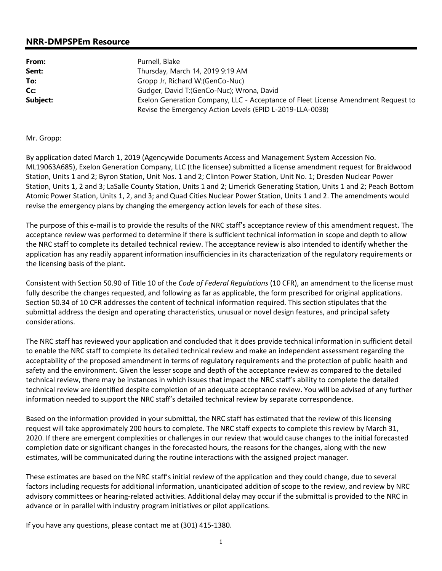## **NRR-DMPSPEm Resource**

| From:    | Purnell, Blake                                                                    |
|----------|-----------------------------------------------------------------------------------|
| Sent:    | Thursday, March 14, 2019 9:19 AM                                                  |
| To:      | Gropp Jr, Richard W:(GenCo-Nuc)                                                   |
| Cc:      | Gudger, David T:(GenCo-Nuc); Wrona, David                                         |
| Subject: | Exelon Generation Company, LLC - Acceptance of Fleet License Amendment Request to |
|          | Revise the Emergency Action Levels (EPID L-2019-LLA-0038)                         |

## Mr. Gropp:

By application dated March 1, 2019 (Agencywide Documents Access and Management System Accession No. ML19063A685), Exelon Generation Company, LLC (the licensee) submitted a license amendment request for Braidwood Station, Units 1 and 2; Byron Station, Unit Nos. 1 and 2; Clinton Power Station, Unit No. 1; Dresden Nuclear Power Station, Units 1, 2 and 3; LaSalle County Station, Units 1 and 2; Limerick Generating Station, Units 1 and 2; Peach Bottom Atomic Power Station, Units 1, 2, and 3; and Quad Cities Nuclear Power Station, Units 1 and 2. The amendments would revise the emergency plans by changing the emergency action levels for each of these sites.

The purpose of this e-mail is to provide the results of the NRC staff's acceptance review of this amendment request. The acceptance review was performed to determine if there is sufficient technical information in scope and depth to allow the NRC staff to complete its detailed technical review. The acceptance review is also intended to identify whether the application has any readily apparent information insufficiencies in its characterization of the regulatory requirements or the licensing basis of the plant.

Consistent with Section 50.90 of Title 10 of the *Code of Federal Regulations* (10 CFR), an amendment to the license must fully describe the changes requested, and following as far as applicable, the form prescribed for original applications. Section 50.34 of 10 CFR addresses the content of technical information required. This section stipulates that the submittal address the design and operating characteristics, unusual or novel design features, and principal safety considerations.

The NRC staff has reviewed your application and concluded that it does provide technical information in sufficient detail to enable the NRC staff to complete its detailed technical review and make an independent assessment regarding the acceptability of the proposed amendment in terms of regulatory requirements and the protection of public health and safety and the environment. Given the lesser scope and depth of the acceptance review as compared to the detailed technical review, there may be instances in which issues that impact the NRC staff's ability to complete the detailed technical review are identified despite completion of an adequate acceptance review. You will be advised of any further information needed to support the NRC staff's detailed technical review by separate correspondence.

Based on the information provided in your submittal, the NRC staff has estimated that the review of this licensing request will take approximately 200 hours to complete. The NRC staff expects to complete this review by March 31, 2020. If there are emergent complexities or challenges in our review that would cause changes to the initial forecasted completion date or significant changes in the forecasted hours, the reasons for the changes, along with the new estimates, will be communicated during the routine interactions with the assigned project manager.

These estimates are based on the NRC staff's initial review of the application and they could change, due to several factors including requests for additional information, unanticipated addition of scope to the review, and review by NRC advisory committees or hearing-related activities. Additional delay may occur if the submittal is provided to the NRC in advance or in parallel with industry program initiatives or pilot applications.

If you have any questions, please contact me at (301) 415-1380.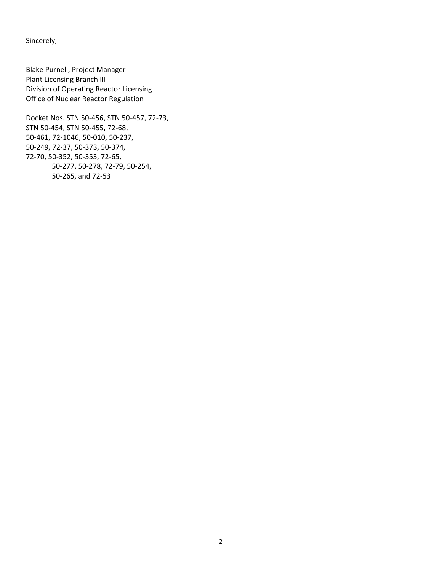Sincerely,

Blake Purnell, Project Manager Plant Licensing Branch III Division of Operating Reactor Licensing Office of Nuclear Reactor Regulation

Docket Nos. STN 50-456, STN 50-457, 72-73, STN 50-454, STN 50-455, 72-68, 50-461, 72-1046, 50-010, 50-237, 50-249, 72-37, 50-373, 50-374, 72-70, 50-352, 50-353, 72-65, 50-277, 50-278, 72-79, 50-254, 50-265, and 72-53